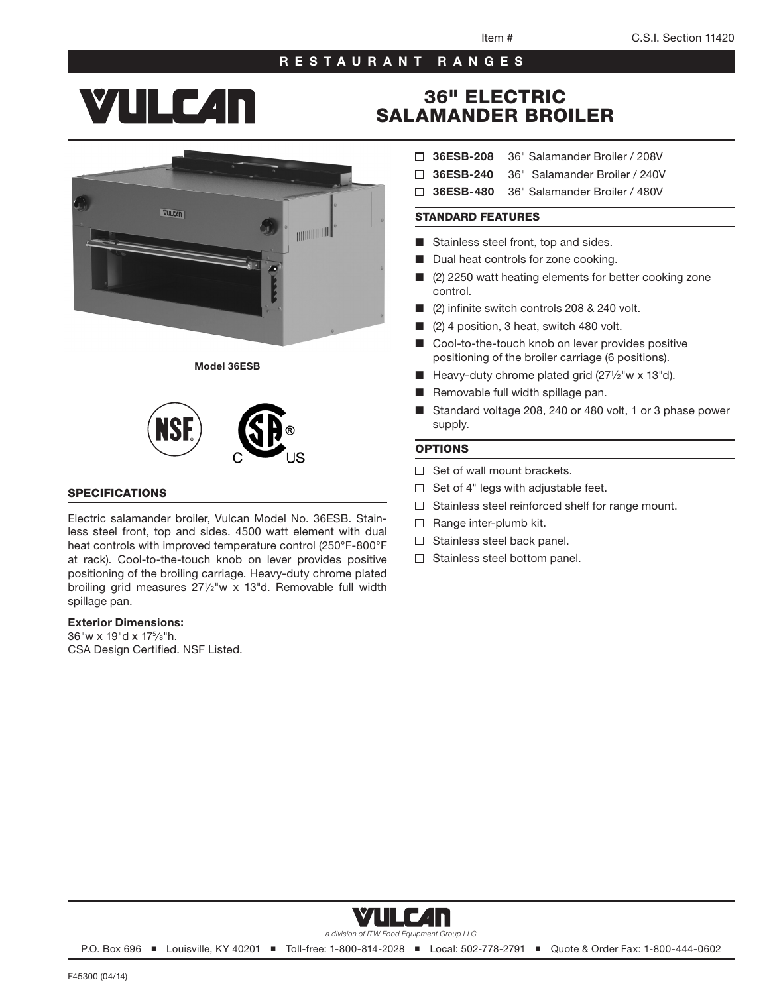#### RESTAURANT RANGES

# **YULC4N**







#### SPECIFICATIONS

Electric salamander broiler, Vulcan Model No. 36ESB. Stainless steel front, top and sides. 4500 watt element with dual heat controls with improved temperature control (250°F-800°F at rack). Cool-to-the-touch knob on lever provides positive positioning of the broiling carriage. Heavy-duty chrome plated broiling grid measures 271/2"w x 13"d. Removable full width spillage pan.

#### Exterior Dimensions:

36"w x 19"d x 175⁄8"h. CSA Design Certified. NSF Listed.

## 36" ELECTRIC SALAMANDER BROILER

- 36ESB-208 36" Salamander Broiler / 208V
- □ 36ESB-240 36" Salamander Broiler / 240V
- □ 36ESB-480 36" Salamander Broiler / 480V

#### STANDARD FEATURES

- Stainless steel front, top and sides.
- Dual heat controls for zone cooking.
- (2) 2250 watt heating elements for better cooking zone control.
- (2) infinite switch controls 208 & 240 volt.
- (2) 4 position, 3 heat, switch 480 volt.
- Cool-to-the-touch knob on lever provides positive positioning of the broiler carriage (6 positions).
- Heavy-duty chrome plated grid  $(27<sup>1</sup>/2<sup>″</sup> w × 13<sup>″</sup>d).$
- Removable full width spillage pan.
- Standard voltage 208, 240 or 480 volt, 1 or 3 phase power supply.

#### OPTIONS

- $\Box$  Set of wall mount brackets.
- $\Box$  Set of 4" legs with adjustable feet.
- $\Box$  Stainless steel reinforced shelf for range mount.
- $\Box$  Range inter-plumb kit.
- $\Box$  Stainless steel back panel.
- $\Box$  Stainless steel bottom panel.



P.O. Box 696 ■ Louisville, KY 40201 ■ Toll-free: 1-800-814-2028 ■ Local: 502-778-2791 ■ Quote & Order Fax: 1-800-444-0602